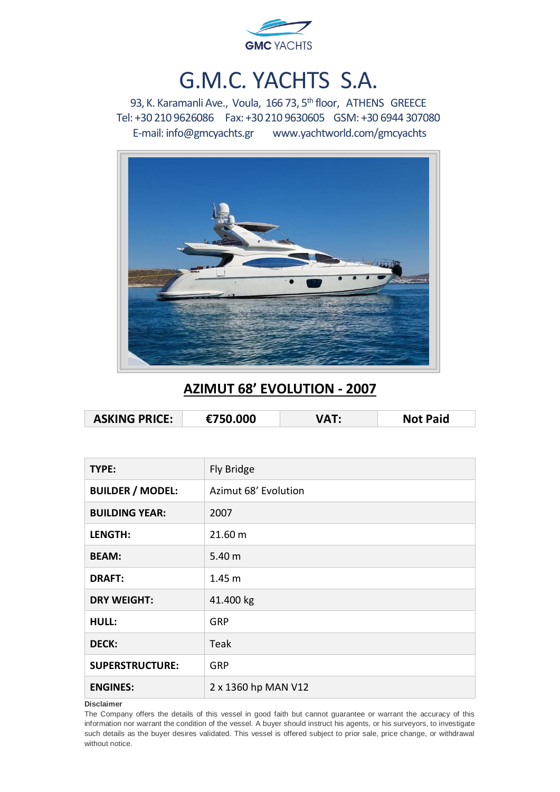

# G.M.C. YACHTS S.A.

93, K. Karamanli Ave., Voula, 166 73, 5<sup>th</sup> floor, ATHENS GREECE Tel: +30 210 9626086 Fax: +30 210 9630605 GSM: +30 6944 307080 E-mail[: info@gmcyachts.gr](mailto:info@gmcyachts.gr) [www.yachtworld.com/gmcyachts](http://www.yachtworld.com/gmcyachts)



### **AZIMUT 68' EVOLUTION - 2007**

| <b>ASKING PRICE:</b> | €750.000 | <b>Not Paid</b> |
|----------------------|----------|-----------------|
|                      |          |                 |

| TYPE:                   | Fly Bridge           |
|-------------------------|----------------------|
| <b>BUILDER / MODEL:</b> | Azimut 68' Evolution |
| <b>BUILDING YEAR:</b>   | 2007                 |
| LENGTH:                 | 21.60 m              |
| <b>BEAM:</b>            | 5.40 m               |
| <b>DRAFT:</b>           | 1.45 <sub>m</sub>    |
| <b>DRY WEIGHT:</b>      | 41.400 kg            |
| <b>HULL:</b>            | <b>GRP</b>           |
| <b>DECK:</b>            | Teak                 |
| <b>SUPERSTRUCTURE:</b>  | <b>GRP</b>           |
| <b>ENGINES:</b>         | 2 x 1360 hp MAN V12  |

**Disclaimer**

The Company offers the details of this vessel in good faith but cannot guarantee or warrant the accuracy of this information nor warrant the condition of the vessel. A buyer should instruct his agents, or his surveyors, to investigate such details as the buyer desires validated. This vessel is offered subject to prior sale, price change, or withdrawal without notice.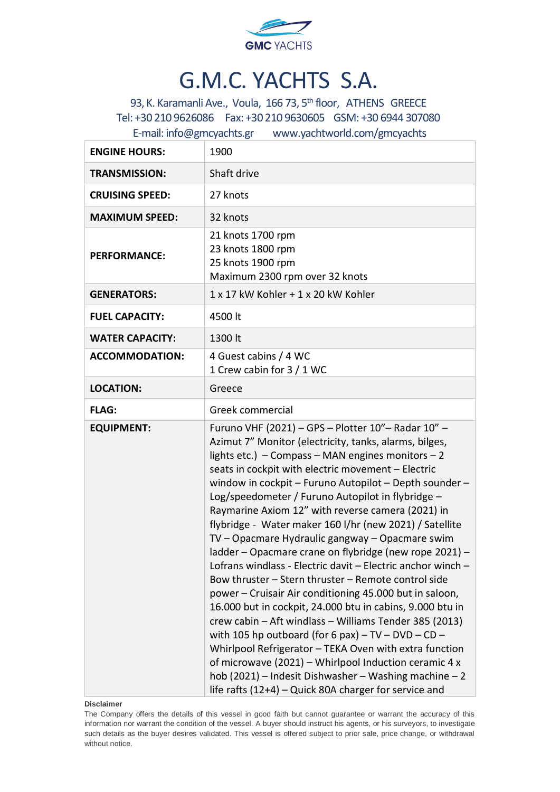

# G.M.C. YACHTS S.A.

93, K. Karamanli Ave., Voula, 166 73, 5<sup>th</sup> floor, ATHENS GREECE Tel: +30 210 9626086 Fax: +30 210 9630605 GSM: +30 6944 307080 E-mail[: info@gmcyachts.gr](mailto:info@gmcyachts.gr) [www.yachtworld.com/gmcyachts](http://www.yachtworld.com/gmcyachts)

| <b>ENGINE HOURS:</b>   | 1900                                                                                                                                                                                                                                                                                                                                                                                                                                                                                                                                                                                                                                                                                                                                                                                                                                                                                                                                                                                                                                                                                                                                                                                 |
|------------------------|--------------------------------------------------------------------------------------------------------------------------------------------------------------------------------------------------------------------------------------------------------------------------------------------------------------------------------------------------------------------------------------------------------------------------------------------------------------------------------------------------------------------------------------------------------------------------------------------------------------------------------------------------------------------------------------------------------------------------------------------------------------------------------------------------------------------------------------------------------------------------------------------------------------------------------------------------------------------------------------------------------------------------------------------------------------------------------------------------------------------------------------------------------------------------------------|
| <b>TRANSMISSION:</b>   | Shaft drive                                                                                                                                                                                                                                                                                                                                                                                                                                                                                                                                                                                                                                                                                                                                                                                                                                                                                                                                                                                                                                                                                                                                                                          |
| <b>CRUISING SPEED:</b> | 27 knots                                                                                                                                                                                                                                                                                                                                                                                                                                                                                                                                                                                                                                                                                                                                                                                                                                                                                                                                                                                                                                                                                                                                                                             |
| <b>MAXIMUM SPEED:</b>  | 32 knots                                                                                                                                                                                                                                                                                                                                                                                                                                                                                                                                                                                                                                                                                                                                                                                                                                                                                                                                                                                                                                                                                                                                                                             |
| <b>PERFORMANCE:</b>    | 21 knots 1700 rpm<br>23 knots 1800 rpm<br>25 knots 1900 rpm<br>Maximum 2300 rpm over 32 knots                                                                                                                                                                                                                                                                                                                                                                                                                                                                                                                                                                                                                                                                                                                                                                                                                                                                                                                                                                                                                                                                                        |
| <b>GENERATORS:</b>     | 1 x 17 kW Kohler + 1 x 20 kW Kohler                                                                                                                                                                                                                                                                                                                                                                                                                                                                                                                                                                                                                                                                                                                                                                                                                                                                                                                                                                                                                                                                                                                                                  |
| <b>FUEL CAPACITY:</b>  | 4500 lt                                                                                                                                                                                                                                                                                                                                                                                                                                                                                                                                                                                                                                                                                                                                                                                                                                                                                                                                                                                                                                                                                                                                                                              |
| <b>WATER CAPACITY:</b> | 1300 lt                                                                                                                                                                                                                                                                                                                                                                                                                                                                                                                                                                                                                                                                                                                                                                                                                                                                                                                                                                                                                                                                                                                                                                              |
| <b>ACCOMMODATION:</b>  | 4 Guest cabins / 4 WC<br>1 Crew cabin for 3 / 1 WC                                                                                                                                                                                                                                                                                                                                                                                                                                                                                                                                                                                                                                                                                                                                                                                                                                                                                                                                                                                                                                                                                                                                   |
| <b>LOCATION:</b>       | Greece                                                                                                                                                                                                                                                                                                                                                                                                                                                                                                                                                                                                                                                                                                                                                                                                                                                                                                                                                                                                                                                                                                                                                                               |
| <b>FLAG:</b>           | Greek commercial                                                                                                                                                                                                                                                                                                                                                                                                                                                                                                                                                                                                                                                                                                                                                                                                                                                                                                                                                                                                                                                                                                                                                                     |
| <b>EQUIPMENT:</b>      | Furuno VHF (2021) - GPS - Plotter 10"- Radar 10" -<br>Azimut 7" Monitor (electricity, tanks, alarms, bilges,<br>lights etc.) $-$ Compass $-$ MAN engines monitors $-2$<br>seats in cockpit with electric movement - Electric<br>window in cockpit - Furuno Autopilot - Depth sounder -<br>Log/speedometer / Furuno Autopilot in flybridge -<br>Raymarine Axiom 12" with reverse camera (2021) in<br>flybridge - Water maker 160 l/hr (new 2021) / Satellite<br>TV – Opacmare Hydraulic gangway – Opacmare swim<br>ladder - Opacmare crane on flybridge (new rope 2021) -<br>Lofrans windlass - Electric davit - Electric anchor winch -<br>Bow thruster - Stern thruster - Remote control side<br>power - Cruisair Air conditioning 45.000 but in saloon,<br>16.000 but in cockpit, 24.000 btu in cabins, 9.000 btu in<br>crew cabin - Aft windlass - Williams Tender 385 (2013)<br>with 105 hp outboard (for 6 pax) $-$ TV $-$ DVD $-$ CD $-$<br>Whirlpool Refrigerator - TEKA Oven with extra function<br>of microwave (2021) – Whirlpool Induction ceramic 4 x<br>hob (2021) - Indesit Dishwasher - Washing machine $-2$<br>life rafts (12+4) - Quick 80A charger for service and |

**Disclaimer**

The Company offers the details of this vessel in good faith but cannot guarantee or warrant the accuracy of this information nor warrant the condition of the vessel. A buyer should instruct his agents, or his surveyors, to investigate such details as the buyer desires validated. This vessel is offered subject to prior sale, price change, or withdrawal without notice.